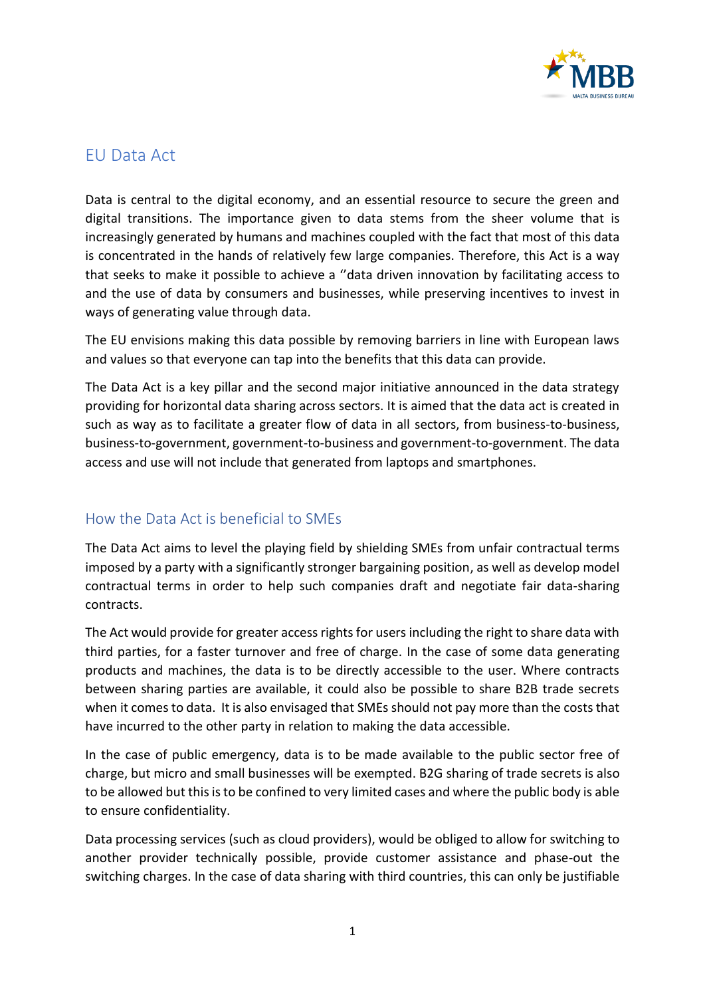

## EU Data Act

Data is central to the digital economy, and an essential resource to secure the green and digital transitions. The importance given to data stems from the sheer volume that is increasingly generated by humans and machines coupled with the fact that most of this data is concentrated in the hands of relatively few large companies. Therefore, this Act is a way that seeks to make it possible to achieve a ''data driven innovation by facilitating access to and the use of data by consumers and businesses, while preserving incentives to invest in ways of generating value through data.

The EU envisions making this data possible by removing barriers in line with European laws and values so that everyone can tap into the benefits that this data can provide.

The Data Act is a key pillar and the second major initiative announced in the data strategy providing for horizontal data sharing across sectors. It is aimed that the data act is created in such as way as to facilitate a greater flow of data in all sectors, from business-to-business, business-to-government, government-to-business and government-to-government. The data access and use will not include that generated from laptops and smartphones.

## How the Data Act is beneficial to SMEs

The Data Act aims to level the playing field by shielding SMEs from unfair contractual terms imposed by a party with a significantly stronger bargaining position, as well as develop model contractual terms in order to help such companies draft and negotiate fair data-sharing contracts.

The Act would provide for greater access rights for users including the right to share data with third parties, for a faster turnover and free of charge. In the case of some data generating products and machines, the data is to be directly accessible to the user. Where contracts between sharing parties are available, it could also be possible to share B2B trade secrets when it comes to data. It is also envisaged that SMEs should not pay more than the costs that have incurred to the other party in relation to making the data accessible.

In the case of public emergency, data is to be made available to the public sector free of charge, but micro and small businesses will be exempted. B2G sharing of trade secrets is also to be allowed but this is to be confined to very limited cases and where the public body is able to ensure confidentiality.

Data processing services (such as cloud providers), would be obliged to allow for switching to another provider technically possible, provide customer assistance and phase-out the switching charges. In the case of data sharing with third countries, this can only be justifiable